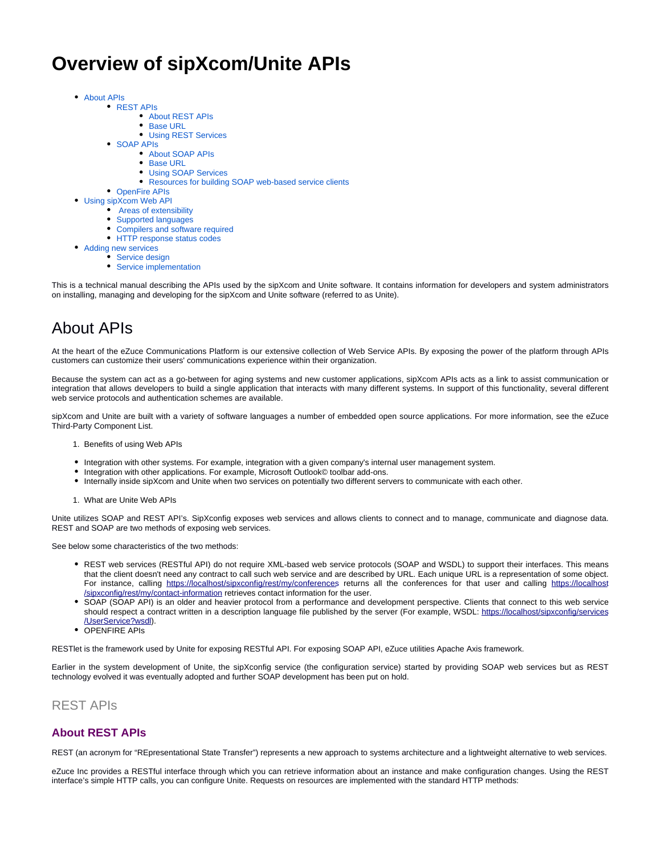# **Overview of sipXcom/Unite APIs**

- [About APIs](#page-0-0)
	- [REST APIs](#page-0-1)
		- [About REST APIs](#page-0-2)
		- [Base URL](#page-1-0)
		- [Using REST Services](#page-1-1)
	- [SOAP APIs](#page-1-2)
		- [About SOAP APIs](#page-1-3) • [Base URL](#page-1-4)
		- [Using SOAP Services](#page-1-5)
		- [Resources for building SOAP web-based service clients](#page-2-0)
	- [OpenFire APIs](#page-2-1)
- [Using sipXcom Web API](#page-2-2)
	- [Areas of extensibility](#page-2-3)
	- [Supported languages](#page-2-4)
	- [Compilers and software required](#page-2-5)
	- [HTTP response status codes](#page-2-6)
- [Adding new services](#page-3-0)
	- [Service design](#page-3-1)
		- [Service implementation](#page-3-2)

This is a technical manual describing the APIs used by the sipXcom and Unite software. It contains information for developers and system administrators on installing, managing and developing for the sipXcom and Unite software (referred to as Unite).

# <span id="page-0-0"></span>About APIs

 $\bullet$ 

At the heart of the eZuce Communications Platform is our extensive collection of Web Service APIs. By exposing the power of the platform through APIs customers can customize their users' communications experience within their organization.

Because the system can act as a go-between for aging systems and new customer applications, sipXcom APIs acts as a link to assist communication or integration that allows developers to build a single application that interacts with many different systems. In support of this functionality, several different web service protocols and authentication schemes are available.

sipXcom and Unite are built with a variety of software languages a number of embedded open source applications. For more information, see the eZuce Third-Party Component List.

- 1. Benefits of using Web APIs
- Integration with other systems. For example, integration with a given company's internal user management system.
- Integration with other applications. For example, Microsoft Outlook© toolbar add-ons.
- Internally inside sipXcom and Unite when two services on potentially two different servers to communicate with each other.
- 1. What are Unite Web APIs

Unite utilizes SOAP and REST API's. SipXconfig exposes web services and allows clients to connect and to manage, communicate and diagnose data. REST and SOAP are two methods of exposing web services.

See below some characteristics of the two methods:

- REST web services (RESTful API) do not require XML-based web service protocols (SOAP and WSDL) to support their interfaces. This means that the client doesn't need any contract to call such web service and are described by URL. Each unique URL is a representation of some object. For instance, calling <https://localhost/sipxconfig/rest/my/conferences> returns all the conferences for that user and calling [https://localhost](https://localhost/sipxconfig/rest/my/contact-information) [/sipxconfig/rest/my/contact-information](https://localhost/sipxconfig/rest/my/contact-information) retrieves contact information for the user.
- SOAP (SOAP API) is an older and heavier protocol from a performance and development perspective. Clients that connect to this web service should respect a contract written in a description language file published by the server (For example, WSDL: [https://localhost/sipxconfig/services](https://localhost/sipxconfig/services/UserService?wsdl) [/UserService?wsdl](https://localhost/sipxconfig/services/UserService?wsdl)).
- OPENFIRE APIs

RESTlet is the framework used by Unite for exposing RESTful API. For exposing SOAP API, eZuce utilities Apache Axis framework.

Earlier in the system development of Unite, the sipXconfig service (the configuration service) started by providing SOAP web services but as REST technology evolved it was eventually adopted and further SOAP development has been put on hold.

### <span id="page-0-1"></span>REST APIs

### <span id="page-0-2"></span>**About REST APIs**

REST (an acronym for "REpresentational State Transfer") represents a new approach to systems architecture and a lightweight alternative to web services.

eZuce Inc provides a RESTful interface through which you can retrieve information about an instance and make configuration changes. Using the REST interface's simple HTTP calls, you can configure Unite. Requests on resources are implemented with the standard HTTP methods: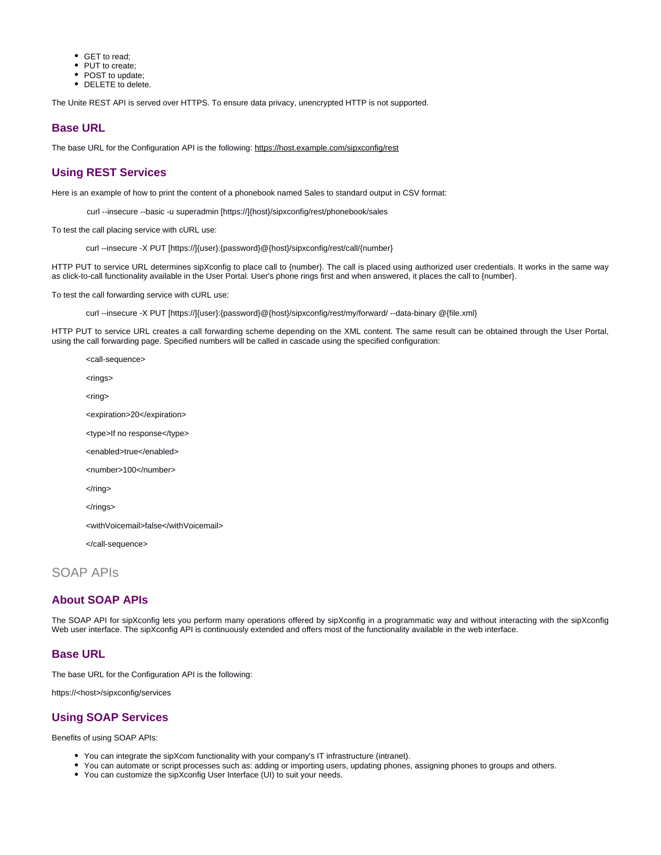- GET to read:
- PUT to create;
- POST to update:
- DELETE to delete.

The Unite REST API is served over HTTPS. To ensure data privacy, unencrypted HTTP is not supported.

#### <span id="page-1-0"></span>**Base URL**

The base URL for the Configuration API is the following:<https://host.example.com/sipxconfig/rest>

#### <span id="page-1-1"></span>**Using REST Services**

Here is an example of how to print the content of a phonebook named Sales to standard output in CSV format:

curl --insecure --basic -u superadmin [https://]{host}/sipxconfig/rest/phonebook/sales

To test the call placing service with cURL use:

curl --insecure -X PUT [https://]{user}:{password}@{host}/sipxconfig/rest/call/{number}

HTTP PUT to service URL determines sipXconfig to place call to {number}. The call is placed using authorized user credentials. It works in the same way as click-to-call functionality available in the User Portal. User's phone rings first and when answered, it places the call to {number}.

To test the call forwarding service with cURL use:

curl --insecure -X PUT [https://]{user}:{password}@{host}/sipxconfig/rest/my/forward/ --data-binary @{file.xml}

HTTP PUT to service URL creates a call forwarding scheme depending on the XML content. The same result can be obtained through the User Portal, using the call forwarding page. Specified numbers will be called in cascade using the specified configuration:

<call-sequence> <rings> <ring> <expiration>20</expiration> <type>If no response</type> <enabled>true</enabled> <number>100</number>  $\langle$ ring> </rings> <withVoicemail>false</withVoicemail> </call-sequence>

# <span id="page-1-2"></span>SOAP APIs

### <span id="page-1-3"></span>**About SOAP APIs**

The SOAP API for sipXconfig lets you perform many operations offered by sipXconfig in a programmatic way and without interacting with the sipXconfig Web user interface. The sipXconfig API is continuously extended and offers most of the functionality available in the web interface.

#### <span id="page-1-4"></span>**Base URL**

The base URL for the Configuration API is the following:

https://<host>/sipxconfig/services

#### <span id="page-1-5"></span>**Using SOAP Services**

Benefits of using SOAP APIs:

- You can integrate the sipXcom functionality with your company's IT infrastructure (intranet).
- You can automate or script processes such as: adding or importing users, updating phones, assigning phones to groups and others.
- You can customize the sipXconfig User Interface (UI) to suit your needs.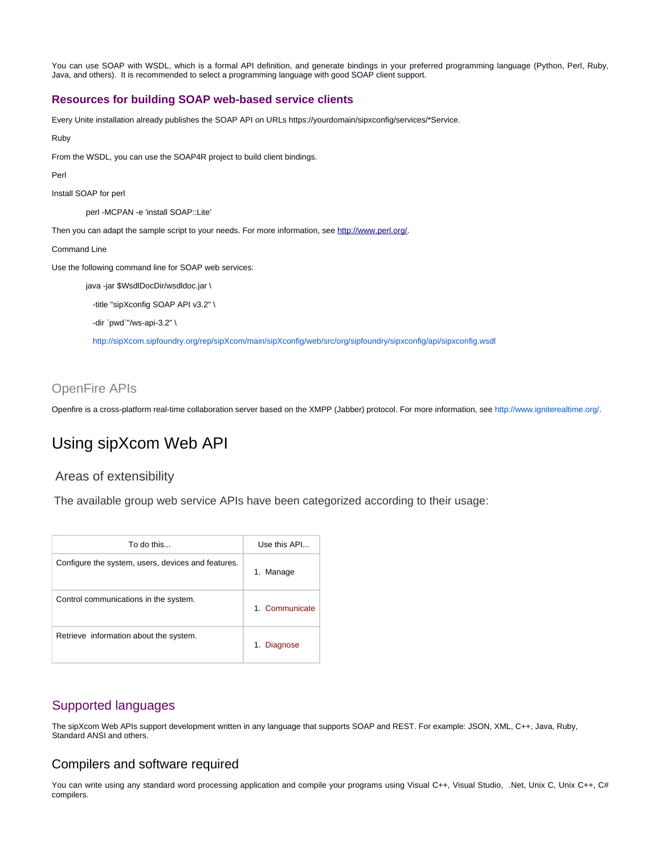You can use SOAP with WSDL, which is a formal API definition, and generate bindings in your preferred programming language (Python, Perl, Ruby, Java, and others). It is recommended to select a programming language with good SOAP client support.

#### <span id="page-2-0"></span>**Resources for building SOAP web-based service clients**

Every Unite installation already publishes the SOAP API on URLs https://yourdomain/sipxconfig/services/\*Service.

Ruby

From the WSDL, you can use the SOAP4R project to build client bindings.

Perl

Install SOAP for perl

perl -MCPAN -e 'install SOAP::Lite'

Then you can adapt the sample script to your needs. For more information, see <http://www.perl.org/>.

Command Line

Use the following command line for SOAP web services:

java -jar \$WsdlDocDir/wsdldoc.jar \

-title "sipXconfig SOAP API v3.2" \

-dir `pwd`"/ws-api-3.2" \

<http://sipXcom.sipfoundry.org/rep/sipXcom/main/sipXconfig/web/src/org/sipfoundry/sipxconfig/api/sipxconfig.wsdl>

## <span id="page-2-1"></span>OpenFire APIs

Openfire is a cross-platform real-time collaboration server based on the XMPP (Jabber) protocol. For more information, see <http://www.igniterealtime.org/>.

# <span id="page-2-2"></span>Using sipXcom Web API

#### <span id="page-2-3"></span>Areas of extensibility

The available group web service APIs have been categorized according to their usage:

| To do this                                         | Use this API   |
|----------------------------------------------------|----------------|
| Configure the system, users, devices and features. | 1. Manage      |
| Control communications in the system.              | 1. Communicate |
| Retrieve information about the system.             | 1. Diagnose    |

# <span id="page-2-4"></span>Supported languages

The sipXcom Web APIs support development written in any language that supports SOAP and REST. For example: JSON, XML, C++, Java, Ruby, Standard ANSI and others.

### <span id="page-2-5"></span>Compilers and software required

<span id="page-2-6"></span>You can write using any standard word processing application and compile your programs using Visual C++, Visual Studio, .Net, Unix C, Unix C++, C# compilers.